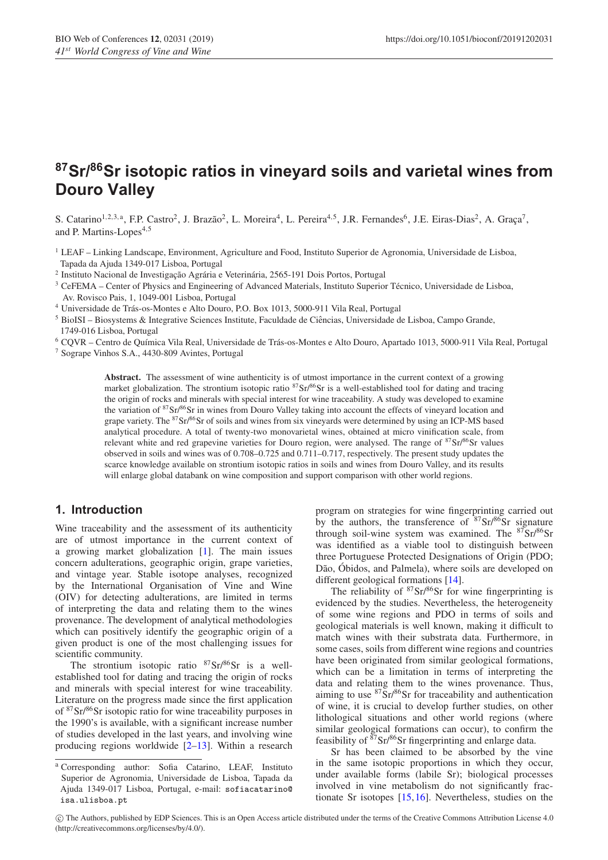# **87Sr/86Sr isotopic ratios in vineyard soils and varietal wines from Douro Valley**

S. Catarino<sup>1,2,3,a</sup>, F.P. Castro<sup>2</sup>, J. Brazão<sup>2</sup>, L. Moreira<sup>4</sup>, L. Pereira<sup>4,5</sup>, J.R. Fernandes<sup>6</sup>, J.E. Eiras-Dias<sup>2</sup>, A. Graça<sup>7</sup>, and P. Martins-Lopes<sup>4,5</sup>

- <sup>1</sup> LEAF Linking Landscape, Environment, Agriculture and Food, Instituto Superior de Agronomia, Universidade de Lisboa, Tapada da Ajuda 1349-017 Lisboa, Portugal
- <sup>2</sup> Instituto Nacional de Investigação Agrária e Veterinária, 2565-191 Dois Portos, Portugal
- <sup>3</sup> CeFEMA Center of Physics and Engineering of Advanced Materials, Instituto Superior Técnico, Universidade de Lisboa, Av. Rovisco Pais, 1, 1049-001 Lisboa, Portugal
- <sup>4</sup> Universidade de Trás-os-Montes e Alto Douro, P.O. Box 1013, 5000-911 Vila Real, Portugal
- <sup>5</sup> BioISI Biosystems & Integrative Sciences Institute, Faculdade de Ciencias, Universidade de Lisboa, Campo Grande, ˆ 1749-016 Lisboa, Portugal
- <sup>6</sup> CQVR Centro de Química Vila Real, Universidade de Trás-os-Montes e Alto Douro, Apartado 1013, 5000-911 Vila Real, Portugal
- <sup>7</sup> Sogrape Vinhos S.A., 4430-809 Avintes, Portugal

**Abstract.** The assessment of wine authenticity is of utmost importance in the current context of a growing market globalization. The strontium isotopic ratio <sup>87</sup>Sr/<sup>86</sup>Sr is a well-established tool for dating and tracing the origin of rocks and minerals with special interest for wine traceability. A study was developed to examine the variation of 87Sr/86Sr in wines from Douro Valley taking into account the effects of vineyard location and grape variety. The  ${}^{87}Sr/{}^{86}Sr$  of soils and wines from six vineyards were determined by using an ICP-MS based analytical procedure. A total of twenty-two monovarietal wines, obtained at micro vinification scale, from relevant white and red grapevine varieties for Douro region, were analysed. The range of <sup>87</sup>Sr/<sup>86</sup>Sr values observed in soils and wines was of 0.708–0.725 and 0.711–0.717, respectively. The present study updates the scarce knowledge available on strontium isotopic ratios in soils and wines from Douro Valley, and its results will enlarge global databank on wine composition and support comparison with other world regions.

## **1. Introduction**

Wine traceability and the assessment of its authenticity are of utmost importance in the current context of a growing market globalization [\[1](#page-3-0)]. The main issues concern adulterations, geographic origin, grape varieties, and vintage year. Stable isotope analyses, recognized by the International Organisation of Vine and Wine (OIV) for detecting adulterations, are limited in terms of interpreting the data and relating them to the wines provenance. The development of analytical methodologies which can positively identify the geographic origin of a given product is one of the most challenging issues for scientific community.

The strontium isotopic ratio  $87$ Sr/ $86$ Sr is a wellestablished tool for dating and tracing the origin of rocks and minerals with special interest for wine traceability. Literature on the progress made since the first application of 87Sr/86Sr isotopic ratio for wine traceability purposes in the 1990's is available, with a significant increase number of studies developed in the last years, and involving wine producing regions worldwide [\[2](#page-3-1)[–13](#page-4-0)]. Within a research program on strategies for wine fingerprinting carried out by the authors, the transference of  $87\text{Sr}/86\text{Sr}}$  signature through soil-wine system was examined. The  $87$ Sr/ $86$ Sr was identified as a viable tool to distinguish between three Portuguese Protected Designations of Origin (PDO; Dão, Óbidos, and Palmela), where soils are developed on different geological formations [\[14](#page-4-1)].

The reliability of  ${}^{87}Sr/{}^{86}Sr$  for wine fingerprinting is evidenced by the studies. Nevertheless, the heterogeneity of some wine regions and PDO in terms of soils and geological materials is well known, making it difficult to match wines with their substrata data. Furthermore, in some cases, soils from different wine regions and countries have been originated from similar geological formations, which can be a limitation in terms of interpreting the data and relating them to the wines provenance. Thus, aiming to use  ${}^{87}Sr/{}^{86}Sr$  for traceability and authentication of wine, it is crucial to develop further studies, on other lithological situations and other world regions (where similar geological formations can occur), to confirm the feasibility of  $87$ Sr/ $86$ Sr fingerprinting and enlarge data.

Sr has been claimed to be absorbed by the vine in the same isotopic proportions in which they occur, under available forms (labile Sr); biological processes involved in vine metabolism do not significantly fractionate Sr isotopes [\[15](#page-4-2)[,16](#page-4-3)]. Nevertheless, studies on the

<sup>a</sup> Corresponding author: Sofia Catarino, LEAF, Instituto Superior de Agronomia, Universidade de Lisboa, Tapada da Ajuda 1349-017 Lisboa, Portugal, e-mail: sofiacatarino@ isa.ulisboa.pt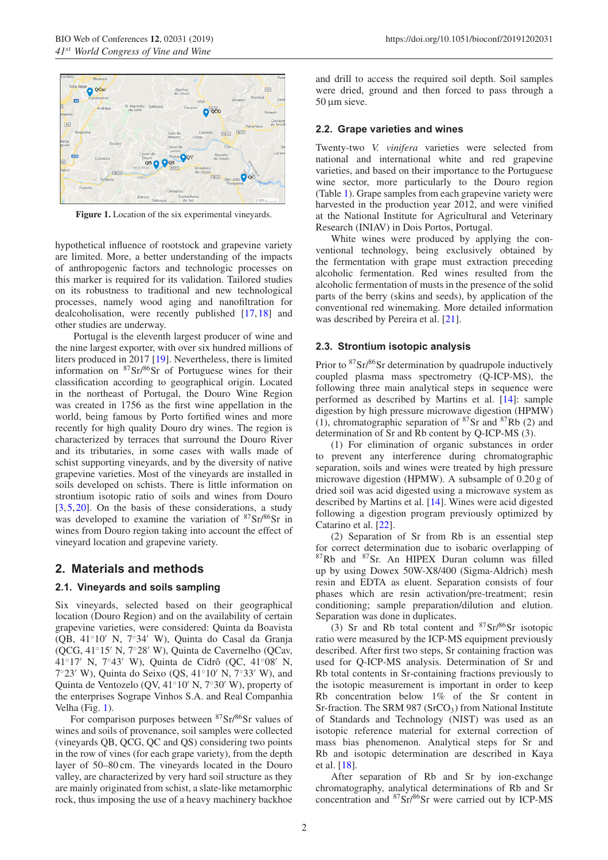<span id="page-1-0"></span>

Figure 1. Location of the six experimental vineyards.

hypothetical influence of rootstock and grapevine variety are limited. More, a better understanding of the impacts of anthropogenic factors and technologic processes on this marker is required for its validation. Tailored studies on its robustness to traditional and new technological processes, namely wood aging and nanofiltration for dealcoholisation, were recently published [\[17](#page-4-4),[18\]](#page-4-5) and other studies are underway.

Portugal is the eleventh largest producer of wine and the nine largest exporter, with over six hundred millions of liters produced in 2017 [\[19](#page-4-6)]. Nevertheless, there is limited information on 87Sr/86Sr of Portuguese wines for their classification according to geographical origin. Located in the northeast of Portugal, the Douro Wine Region was created in 1756 as the first wine appellation in the world, being famous by Porto fortified wines and more recently for high quality Douro dry wines. The region is characterized by terraces that surround the Douro River and its tributaries, in some cases with walls made of schist supporting vineyards, and by the diversity of native grapevine varieties. Most of the vineyards are installed in soils developed on schists. There is little information on strontium isotopic ratio of soils and wines from Douro [\[3](#page-3-2),[5](#page-3-3)[,20](#page-4-7)]. On the basis of these considerations, a study was developed to examine the variation of  $87Sr/86Sr$  in wines from Douro region taking into account the effect of vineyard location and grapevine variety.

## **2. Materials and methods**

## **2.1. Vineyards and soils sampling**

Six vineyards, selected based on their geographical location (Douro Region) and on the availability of certain grapevine varieties, were considered: Quinta da Boavista (QB, 41°10′ N, 7°34′ W), Quinta do Casal da Granja (QCG, 41°15' N, 7°28' W), Quinta de Cavernelho (QCav, 41°17′ N, 7°43′ W), Quinta de Cidrô (QC, 41°08′ N, 7°23′ W), Quinta do Seixo (QS, 41°10′ N, 7°33′ W), and Quinta de Ventozelo (QV, 41<sup>°</sup>10′ N, 7°30′ W), property of the enterprises Sogrape Vinhos S.A. and Real Companhia Velha (Fig. [1\)](#page-1-0).

For comparison purposes between <sup>87</sup>Sr/<sup>86</sup>Sr values of wines and soils of provenance, soil samples were collected (vineyards QB, QCG, QC and QS) considering two points in the row of vines (for each grape variety), from the depth layer of 50–80 cm. The vineyards located in the Douro valley, are characterized by very hard soil structure as they are mainly originated from schist, a slate-like metamorphic rock, thus imposing the use of a heavy machinery backhoe and drill to access the required soil depth. Soil samples were dried, ground and then forced to pass through a 50 µm sieve.

#### **2.2. Grape varieties and wines**

Twenty-two *V. vinifera* varieties were selected from national and international white and red grapevine varieties, and based on their importance to the Portuguese wine sector, more particularly to the Douro region (Table [1\)](#page-2-0). Grape samples from each grapevine variety were harvested in the production year 2012, and were vinified at the National Institute for Agricultural and Veterinary Research (INIAV) in Dois Portos, Portugal.

White wines were produced by applying the conventional technology, being exclusively obtained by the fermentation with grape must extraction preceding alcoholic fermentation. Red wines resulted from the alcoholic fermentation of musts in the presence of the solid parts of the berry (skins and seeds), by application of the conventional red winemaking. More detailed information was described by Pereira et al. [\[21\]](#page-4-8).

#### **2.3. Strontium isotopic analysis**

Prior to  $87$ Sr/ $86$ Sr determination by quadrupole inductively coupled plasma mass spectrometry (Q-ICP-MS), the following three main analytical steps in sequence were performed as described by Martins et al. [\[14](#page-4-1)]: sample digestion by high pressure microwave digestion (HPMW) (1), chromatographic separation of 87Sr and 87Rb (2) and determination of Sr and Rb content by Q-ICP-MS (3).

(1) For elimination of organic substances in order to prevent any interference during chromatographic separation, soils and wines were treated by high pressure microwave digestion (HPMW). A subsample of 0.20 g of dried soil was acid digested using a microwave system as described by Martins et al. [\[14](#page-4-1)]. Wines were acid digested following a digestion program previously optimized by Catarino et al. [\[22\]](#page-4-9).

(2) Separation of Sr from Rb is an essential step for correct determination due to isobaric overlapping of 87Rb and 87Sr. An HIPEX Duran column was filled up by using Dowex 50W-X8/400 (Sigma-Aldrich) mesh resin and EDTA as eluent. Separation consists of four phases which are resin activation/pre-treatment; resin conditioning; sample preparation/dilution and elution. Separation was done in duplicates.

(3) Sr and Rb total content and  ${}^{87}Sr/{}^{86}Sr$  isotopic ratio were measured by the ICP-MS equipment previously described. After first two steps, Sr containing fraction was used for Q-ICP-MS analysis. Determination of Sr and Rb total contents in Sr-containing fractions previously to the isotopic measurement is important in order to keep Rb concentration below 1% of the Sr content in Sr-fraction. The SRM 987 (SrCO<sub>3</sub>) from National Institute of Standards and Technology (NIST) was used as an isotopic reference material for external correction of mass bias phenomenon. Analytical steps for Sr and Rb and isotopic determination are described in Kaya et al. [\[18](#page-4-5)].

After separation of Rb and Sr by ion-exchange chromatography, analytical determinations of Rb and Sr concentration and 87Sr/86Sr were carried out by ICP-MS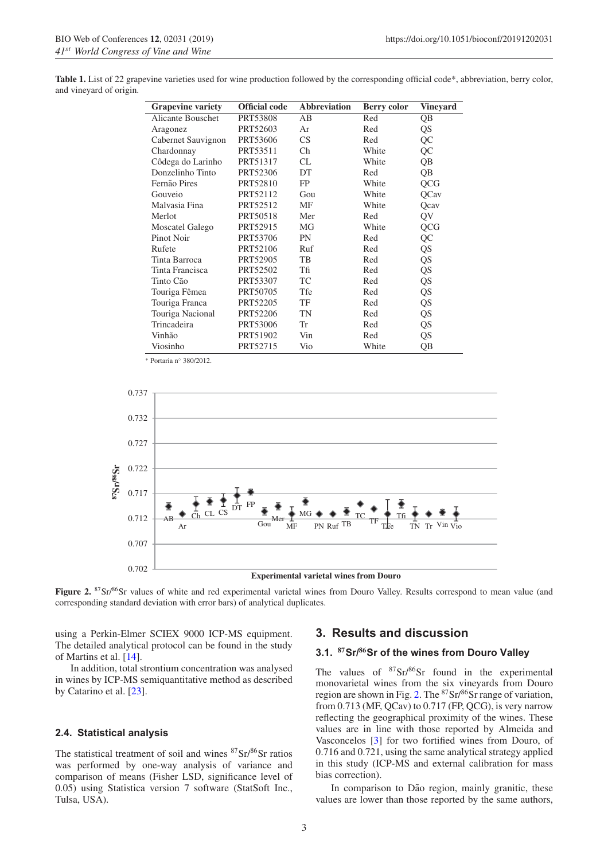| <b>Grapevine variety</b> | Official code   | <b>Abbreviation</b> | <b>Berry color</b> | Vineyard |
|--------------------------|-----------------|---------------------|--------------------|----------|
| <b>Alicante Bouschet</b> | <b>PRT53808</b> | AB                  | Red                | QB       |
| Aragonez                 | PRT52603        | Ar                  | Red                | QS       |
| Cabernet Sauvignon       | PRT53606        | <b>CS</b>           | Red                | QC       |
| Chardonnay               | PRT53511        | Ch                  | White              | QC       |
| Côdega do Larinho        | PRT51317        | CL                  | White              | QB       |
| Donzelinho Tinto         | PRT52306        | DT                  | Red                | QB       |
| Fernão Pires             | PRT52810        | FP                  | White              | QCG      |
| Gouveio                  | PRT52112        | Gou                 | White              | QCav     |
| Malvasia Fina            | PRT52512        | MF                  | White              | Qcav     |
| Merlot                   | PRT50518        | Mer                 | Red                | QV       |
| Moscatel Galego          | PRT52915        | MG                  | White              | QCG      |
| Pinot Noir               | PRT53706        | PN                  | Red                | QC       |
| Rufete                   | PRT52106        | Ruf                 | Red                | QS       |
| Tinta Barroca            | PRT52905        | TB                  | Red                | QS       |
| Tinta Francisca          | PRT52502        | Tfi                 | Red                | QS       |
| Tinto Cão                | PRT53307        | TC                  | Red                | QS       |
| Touriga Fêmea            | PRT50705        | Tfe                 | Red                | QS       |
| Touriga Franca           | PRT52205        | TF                  | Red                | QS       |
| Touriga Nacional         | PRT52206        | TN                  | Red                | QS       |
| Trincadeira              | PRT53006        | Tr                  | Red                | QS       |
| Vinhão                   | PRT51902        | Vin                 | Red                | QS       |
| Viosinho                 | PRT52715        | Vio                 | White              | QB       |

<span id="page-2-0"></span>**Table 1.** List of 22 grapevine varieties used for wine production followed by the corresponding official code\*, abbreviation, berry color, and vineyard of origin.





<span id="page-2-1"></span>Figure 2. <sup>87</sup>Sr/<sup>86</sup>Sr values of white and red experimental varietal wines from Douro Valley. Results correspond to mean value (and corresponding standard deviation with error bars) of analytical duplicates.

using a Perkin-Elmer SCIEX 9000 ICP-MS equipment. The detailed analytical protocol can be found in the study of Martins et al. [\[14](#page-4-1)].

In addition, total strontium concentration was analysed in wines by ICP-MS semiquantitative method as described by Catarino et al. [\[23](#page-4-10)].

#### **2.4. Statistical analysis**

The statistical treatment of soil and wines  $87\text{Sr}/86\text{Sr}$  ratios was performed by one-way analysis of variance and comparison of means (Fisher LSD, significance level of 0.05) using Statistica version 7 software (StatSoft Inc., Tulsa, USA).

#### **3. Results and discussion**

## **3.1. <sup>87</sup>Sr/<sup>86</sup>Sr of the wines from Douro Valley**

The values of  $87\text{Sr}/86\text{Sr}$  found in the experimental monovarietal wines from the six vineyards from Douro region are shown in Fig. [2.](#page-2-1) The  $87$  Sr $/86$  Sr range of variation, from 0.713 (MF, QCav) to 0.717 (FP, QCG), is very narrow reflecting the geographical proximity of the wines. These values are in line with those reported by Almeida and Vasconcelos [\[3\]](#page-3-2) for two fortified wines from Douro, of 0.716 and 0.721, using the same analytical strategy applied in this study (ICP-MS and external calibration for mass bias correction).

In comparison to Dão region, mainly granitic, these values are lower than those reported by the same authors,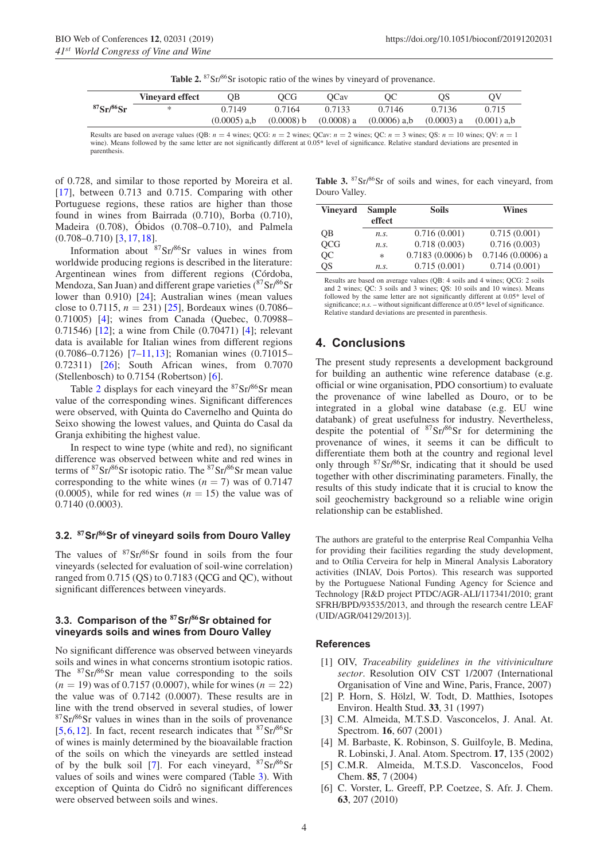<span id="page-3-6"></span>

|  |  |  |  |  |  |  | <b>Table 2.</b> $87$ Sr/ $86$ Sr isotopic ratio of the wines by vineyard of provenance |
|--|--|--|--|--|--|--|----------------------------------------------------------------------------------------|
|--|--|--|--|--|--|--|----------------------------------------------------------------------------------------|

|                               | Vinevard effect | OB.                                | OCG           | OCav   | OС                          | OS                                           | OV                   |
|-------------------------------|-----------------|------------------------------------|---------------|--------|-----------------------------|----------------------------------------------|----------------------|
| ${}^{87}Sr/{}^{86}Sr$         |                 | 0.7149                             | 0.7164        | 0.7133 | 0.7146                      | 0.7136                                       | 0.715                |
|                               |                 | $(0.0005)$ a.b                     | $(0.0008)$ b  |        | $(0.0008)$ a $(0.0006)$ a,b | $(0.0003)$ a $(0.001)$ a,b                   |                      |
| $\mathbf{r}$ and $\mathbf{r}$ | $\sim$          | $\sim$ $\sim$ $\sim$ $\sim$ $\sim$ | $\sim$ $\sim$ |        | $\sim$ $\sim$ $\sim$        | $\sim$ $\sim$<br>$\sim$ $\sim$ $\sim$ $\sim$ | $\sim$ $\sim$ $\sim$ |

Results are based on average values (QB:  $n = 4$  wines; QCG:  $n = 2$  wines; QCav:  $n = 2$  wines; QC:  $n = 3$  wines; QS:  $n = 10$  wines; QV:  $n = 1$ wine). Means followed by the same letter are not significantly different at 0.05\* level of significance. Relative standard deviations are presented in parenthesis.

of 0.728, and similar to those reported by Moreira et al. [\[17](#page-4-4)], between 0.713 and 0.715. Comparing with other Portuguese regions, these ratios are higher than those found in wines from Bairrada (0.710), Borba (0.710), Madeira (0.708), Obidos (0.708–0.710), and Palmela ´ (0.708–0.710) [\[3](#page-3-2),[17](#page-4-4)[,18](#page-4-5)].

Information about  ${}^{87}Sr/{}^{86}Sr$  values in wines from worldwide producing regions is described in the literature: Argentinean wines from different regions (Córdoba, Mendoza, San Juan) and different grape varieties (87Sr/86Sr lower than 0.910) [\[24\]](#page-4-11); Australian wines (mean values close to 0.7115,  $n = 231$ ) [\[25](#page-4-12)], Bordeaux wines (0.7086– 0.71005) [\[4](#page-3-4)]; wines from Canada (Quebec, 0.70988– 0.71546) [\[12](#page-4-13)]; a wine from Chile (0.70471) [\[4](#page-3-4)]; relevant data is available for Italian wines from different regions (0.7086–0.7126) [\[7](#page-4-14)[–11](#page-4-15),[13\]](#page-4-0); Romanian wines (0.71015– 0.72311) [\[26\]](#page-4-16); South African wines, from 0.7070 (Stellenbosch) to 0.7154 (Robertson) [\[6\]](#page-3-5).

Table [2](#page-3-6) displays for each vineyard the  $87\text{Sr}/86\text{Sr}$  mean value of the corresponding wines. Significant differences were observed, with Quinta do Cavernelho and Quinta do Seixo showing the lowest values, and Quinta do Casal da Granja exhibiting the highest value.

In respect to wine type (white and red), no significant difference was observed between white and red wines in terms of  $87\text{Sr}/86\text{Sr}$  isotopic ratio. The  $87\text{Sr}/86\text{Sr}$  mean value corresponding to the white wines  $(n = 7)$  was of 0.7147 (0.0005), while for red wines  $(n = 15)$  the value was of 0.7140 (0.0003).

#### **3.2. <sup>87</sup>Sr/<sup>86</sup>Sr of vineyard soils from Douro Valley**

The values of  $87\text{Sr}/86\text{Sr}$  found in soils from the four vineyards (selected for evaluation of soil-wine correlation) ranged from 0.715 (QS) to 0.7183 (QCG and QC), without significant differences between vineyards.

#### **3.3. Comparison of the <sup>87</sup>Sr/<sup>86</sup>Sr obtained for vineyards soils and wines from Douro Valley**

No significant difference was observed between vineyards soils and wines in what concerns strontium isotopic ratios. The  $87\text{Sr}/86\text{Sr}$  mean value corresponding to the soils  $(n = 19)$  was of 0.7157 (0.0007), while for wines  $(n = 22)$ the value was of 0.7142 (0.0007). These results are in line with the trend observed in several studies, of lower  $87\,\text{Sr}/86\,\text{Sr}$  values in wines than in the soils of provenance [\[5](#page-3-3),[6](#page-3-5)[,12](#page-4-13)]. In fact, recent research indicates that  ${}^{87}Sr/{}^{86}Sr$ of wines is mainly determined by the bioavailable fraction of the soils on which the vineyards are settled instead of by the bulk soil [\[7](#page-4-14)]. For each vineyard,  $87\text{Sr}/86\text{Sr}$ values of soils and wines were compared (Table [3\)](#page-3-7). With exception of Quinta do Cidrô no significant differences were observed between soils and wines.

<span id="page-3-7"></span>Table 3.  $87$ Sr/ $86$ Sr of soils and wines, for each vineyard, from Douro Valley.

| <b>Vinevard</b> | <b>Sample</b><br>effect | <b>Soils</b>       | <b>Wines</b>       |  |
|-----------------|-------------------------|--------------------|--------------------|--|
| <b>OB</b>       | $n_{\rm s}$ .           | 0.716(0.001)       | 0.715(0.001)       |  |
| QCG             | n.s.                    | 0.718(0.003)       | 0.716(0.003)       |  |
| QC              | ∗                       | $0.7183(0.0006)$ b | $0.7146(0.0006)$ a |  |
| QS              | $n_{\rm s}$ .           | 0.715(0.001)       | 0.714(0.001)       |  |

Results are based on average values (QB: 4 soils and 4 wines; QCG: 2 soils and 2 wines; QC: 3 soils and 3 wines; QS: 10 soils and 10 wines). Means followed by the same letter are not significantly different at 0.05\* level of significance;  $n.s.$  – without significant difference at  $0.05*$  level of significance. Relative standard deviations are presented in parenthesis.

## **4. Conclusions**

The present study represents a development background for building an authentic wine reference database (e.g. official or wine organisation, PDO consortium) to evaluate the provenance of wine labelled as Douro, or to be integrated in a global wine database (e.g. EU wine databank) of great usefulness for industry. Nevertheless, despite the potential of  $87$ Sr/ $86$ Sr for determining the provenance of wines, it seems it can be difficult to differentiate them both at the country and regional level only through 87Sr/86Sr, indicating that it should be used together with other discriminating parameters. Finally, the results of this study indicate that it is crucial to know the soil geochemistry background so a reliable wine origin relationship can be established.

The authors are grateful to the enterprise Real Companhia Velha for providing their facilities regarding the study development, and to Otília Cerveira for help in Mineral Analysis Laboratory activities (INIAV, Dois Portos). This research was supported by the Portuguese National Funding Agency for Science and Technology [R&D project PTDC/AGR-ALI/117341/2010; grant SFRH/BPD/93535/2013, and through the research centre LEAF (UID/AGR/04129/2013)].

#### <span id="page-3-0"></span>**References**

- [1] OIV, *Traceability guidelines in the vitiviniculture sector*. Resolution OIV CST 1/2007 (International Organisation of Vine and Wine, Paris, France, 2007)
- <span id="page-3-1"></span>[2] P. Horn, S. Hölzl, W. Todt, D. Matthies, Isotopes Environ. Health Stud. **33**, 31 (1997)
- <span id="page-3-2"></span>[3] C.M. Almeida, M.T.S.D. Vasconcelos, J. Anal. At. Spectrom. **16**, 607 (2001)
- <span id="page-3-4"></span>[4] M. Barbaste, K. Robinson, S. Guilfoyle, B. Medina, R. Lobinski, J. Anal. Atom. Spectrom. **17**, 135 (2002)
- <span id="page-3-3"></span>[5] C.M.R. Almeida, M.T.S.D. Vasconcelos, Food Chem. **85**, 7 (2004)
- <span id="page-3-5"></span>[6] C. Vorster, L. Greeff, P.P. Coetzee, S. Afr. J. Chem. **63**, 207 (2010)